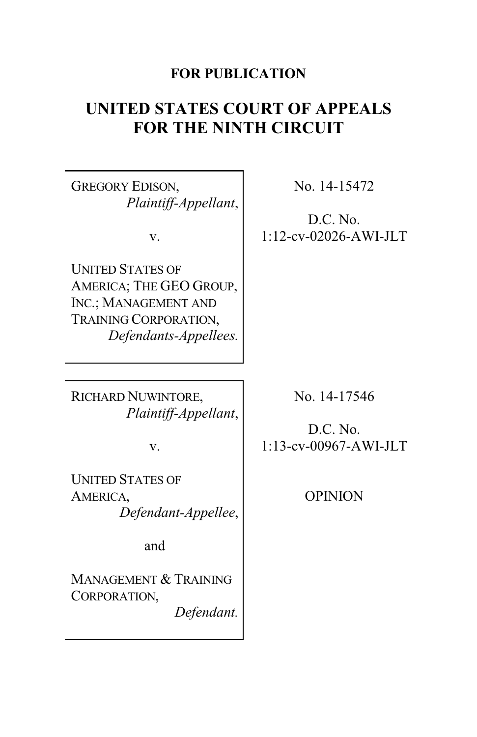# **FOR PUBLICATION**

# **UNITED STATES COURT OF APPEALS FOR THE NINTH CIRCUIT**

GREGORY EDISON, *Plaintiff-Appellant*,

v.

UNITED STATES OF AMERICA; THE GEO GROUP, INC.; MANAGEMENT AND TRAINING CORPORATION, *Defendants-Appellees.* No. 14-15472

D.C. No. 1:12-cv-02026-AWI-JLT

RICHARD NUWINTORE, *Plaintiff-Appellant*,

v.

UNITED STATES OF AMERICA, *Defendant-Appellee*,

and

MANAGEMENT & TRAINING CORPORATION,

*Defendant.*

No. 14-17546

D.C. No. 1:13-cv-00967-AWI-JLT

OPINION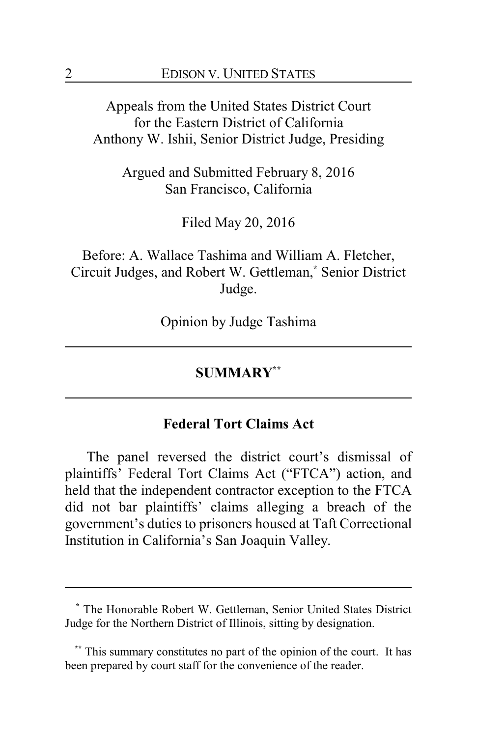Appeals from the United States District Court for the Eastern District of California Anthony W. Ishii, Senior District Judge, Presiding

> Argued and Submitted February 8, 2016 San Francisco, California

> > Filed May 20, 2016

Before: A. Wallace Tashima and William A. Fletcher, Circuit Judges, and Robert W. Gettleman,**\*** Senior District Judge.

Opinion by Judge Tashima

## **SUMMARY\*\***

#### **Federal Tort Claims Act**

The panel reversed the district court's dismissal of plaintiffs' Federal Tort Claims Act ("FTCA") action, and held that the independent contractor exception to the FTCA did not bar plaintiffs' claims alleging a breach of the government's duties to prisoners housed at Taft Correctional Institution in California's San Joaquin Valley.

**<sup>\*</sup>** The Honorable Robert W. Gettleman, Senior United States District Judge for the Northern District of Illinois, sitting by designation.

This summary constitutes no part of the opinion of the court. It has been prepared by court staff for the convenience of the reader.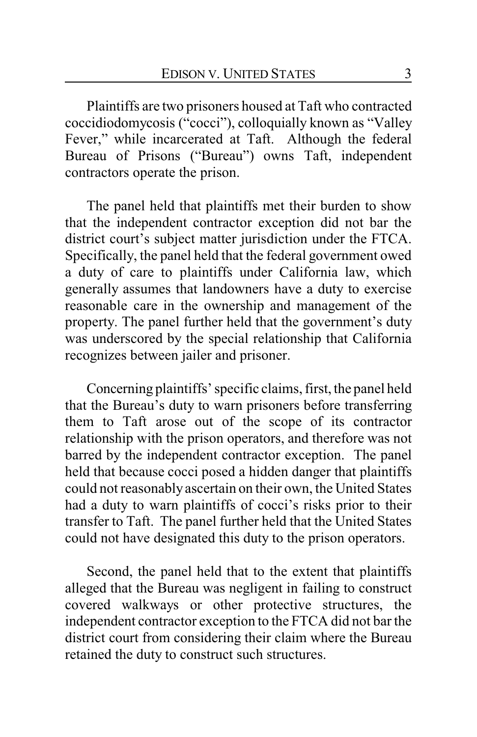Plaintiffs are two prisoners housed at Taft who contracted coccidiodomycosis ("cocci"), colloquially known as "Valley Fever," while incarcerated at Taft. Although the federal Bureau of Prisons ("Bureau") owns Taft, independent contractors operate the prison.

The panel held that plaintiffs met their burden to show that the independent contractor exception did not bar the district court's subject matter jurisdiction under the FTCA. Specifically, the panel held that the federal government owed a duty of care to plaintiffs under California law, which generally assumes that landowners have a duty to exercise reasonable care in the ownership and management of the property. The panel further held that the government's duty was underscored by the special relationship that California recognizes between jailer and prisoner.

Concerning plaintiffs' specific claims, first, the panel held that the Bureau's duty to warn prisoners before transferring them to Taft arose out of the scope of its contractor relationship with the prison operators, and therefore was not barred by the independent contractor exception. The panel held that because cocci posed a hidden danger that plaintiffs could not reasonably ascertain on their own, the United States had a duty to warn plaintiffs of cocci's risks prior to their transfer to Taft. The panel further held that the United States could not have designated this duty to the prison operators.

Second, the panel held that to the extent that plaintiffs alleged that the Bureau was negligent in failing to construct covered walkways or other protective structures, the independent contractor exception to the FTCA did not bar the district court from considering their claim where the Bureau retained the duty to construct such structures.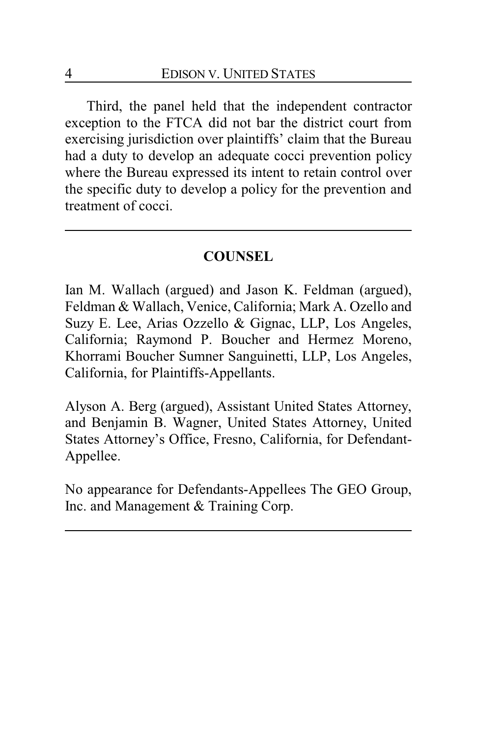Third, the panel held that the independent contractor exception to the FTCA did not bar the district court from exercising jurisdiction over plaintiffs' claim that the Bureau had a duty to develop an adequate cocci prevention policy where the Bureau expressed its intent to retain control over the specific duty to develop a policy for the prevention and treatment of cocci.

## **COUNSEL**

Ian M. Wallach (argued) and Jason K. Feldman (argued), Feldman & Wallach, Venice, California; Mark A. Ozello and Suzy E. Lee, Arias Ozzello & Gignac, LLP, Los Angeles, California; Raymond P. Boucher and Hermez Moreno, Khorrami Boucher Sumner Sanguinetti, LLP, Los Angeles, California, for Plaintiffs-Appellants.

Alyson A. Berg (argued), Assistant United States Attorney, and Benjamin B. Wagner, United States Attorney, United States Attorney's Office, Fresno, California, for Defendant-Appellee.

No appearance for Defendants-Appellees The GEO Group, Inc. and Management & Training Corp.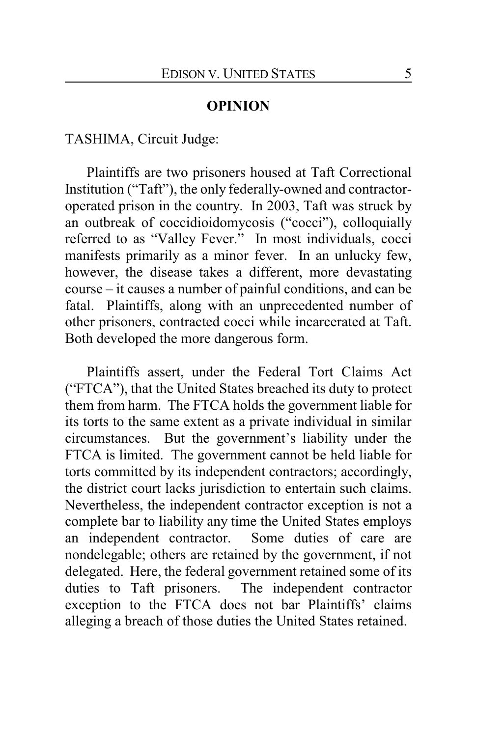#### **OPINION**

TASHIMA, Circuit Judge:

Plaintiffs are two prisoners housed at Taft Correctional Institution ("Taft"), the only federally-owned and contractoroperated prison in the country. In 2003, Taft was struck by an outbreak of coccidioidomycosis ("cocci"), colloquially referred to as "Valley Fever." In most individuals, cocci manifests primarily as a minor fever. In an unlucky few, however, the disease takes a different, more devastating course – it causes a number of painful conditions, and can be fatal. Plaintiffs, along with an unprecedented number of other prisoners, contracted cocci while incarcerated at Taft. Both developed the more dangerous form.

Plaintiffs assert, under the Federal Tort Claims Act ("FTCA"), that the United States breached its duty to protect them from harm. The FTCA holds the government liable for its torts to the same extent as a private individual in similar circumstances. But the government's liability under the FTCA is limited. The government cannot be held liable for torts committed by its independent contractors; accordingly, the district court lacks jurisdiction to entertain such claims. Nevertheless, the independent contractor exception is not a complete bar to liability any time the United States employs an independent contractor. Some duties of care are nondelegable; others are retained by the government, if not delegated. Here, the federal government retained some of its duties to Taft prisoners. The independent contractor exception to the FTCA does not bar Plaintiffs' claims alleging a breach of those duties the United States retained.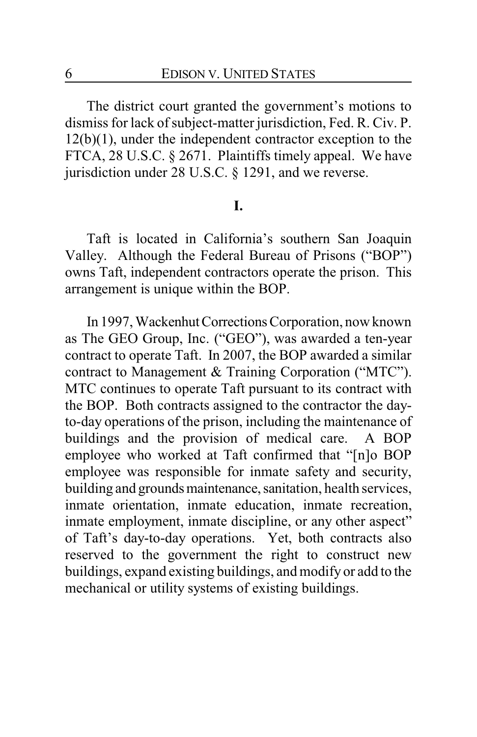The district court granted the government's motions to dismiss for lack of subject-matter jurisdiction, Fed. R. Civ. P. 12(b)(1), under the independent contractor exception to the FTCA, 28 U.S.C. § 2671. Plaintiffs timely appeal. We have jurisdiction under 28 U.S.C. § 1291, and we reverse.

## **I.**

Taft is located in California's southern San Joaquin Valley. Although the Federal Bureau of Prisons ("BOP") owns Taft, independent contractors operate the prison. This arrangement is unique within the BOP.

In 1997, Wackenhut Corrections Corporation, now known as The GEO Group, Inc. ("GEO"), was awarded a ten-year contract to operate Taft. In 2007, the BOP awarded a similar contract to Management & Training Corporation ("MTC"). MTC continues to operate Taft pursuant to its contract with the BOP. Both contracts assigned to the contractor the dayto-day operations of the prison, including the maintenance of buildings and the provision of medical care. A BOP employee who worked at Taft confirmed that "[n]o BOP employee was responsible for inmate safety and security, building and grounds maintenance, sanitation, health services, inmate orientation, inmate education, inmate recreation, inmate employment, inmate discipline, or any other aspect" of Taft's day-to-day operations. Yet, both contracts also reserved to the government the right to construct new buildings, expand existing buildings, and modify or add to the mechanical or utility systems of existing buildings.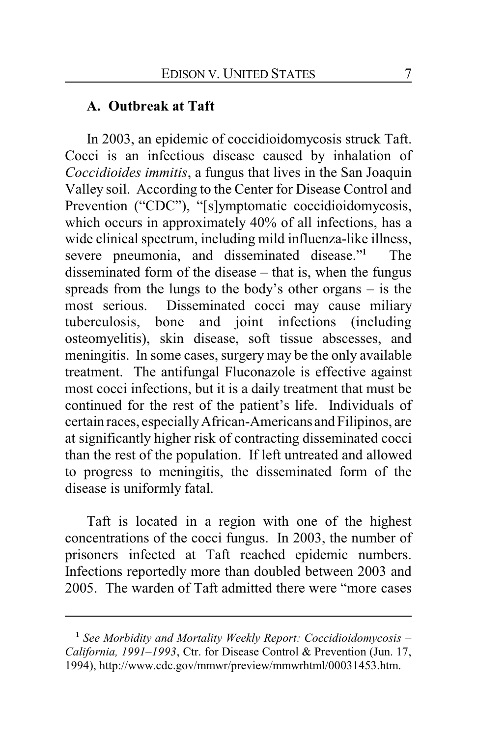## **A. Outbreak at Taft**

In 2003, an epidemic of coccidioidomycosis struck Taft. Cocci is an infectious disease caused by inhalation of *Coccidioides immitis*, a fungus that lives in the San Joaquin Valley soil. According to the Center for Disease Control and Prevention ("CDC"), "[s]ymptomatic coccidioidomycosis, which occurs in approximately 40% of all infections, has a wide clinical spectrum, including mild influenza-like illness, severe pneumonia, and disseminated disease."**<sup>1</sup>** The disseminated form of the disease – that is, when the fungus spreads from the lungs to the body's other organs – is the most serious. Disseminated cocci may cause miliary tuberculosis, bone and joint infections (including osteomyelitis), skin disease, soft tissue abscesses, and meningitis. In some cases, surgery may be the only available treatment. The antifungal Fluconazole is effective against most cocci infections, but it is a daily treatment that must be continued for the rest of the patient's life. Individuals of certain races, especiallyAfrican-Americans and Filipinos, are at significantly higher risk of contracting disseminated cocci than the rest of the population. If left untreated and allowed to progress to meningitis, the disseminated form of the disease is uniformly fatal.

Taft is located in a region with one of the highest concentrations of the cocci fungus. In 2003, the number of prisoners infected at Taft reached epidemic numbers. Infections reportedly more than doubled between 2003 and 2005. The warden of Taft admitted there were "more cases

**<sup>1</sup>** *See Morbidity and Mortality Weekly Report: Coccidioidomycosis – California, 1991–1993*, Ctr. for Disease Control & Prevention (Jun. 17, 1994), http://www.cdc.gov/mmwr/preview/mmwrhtml/00031453.htm.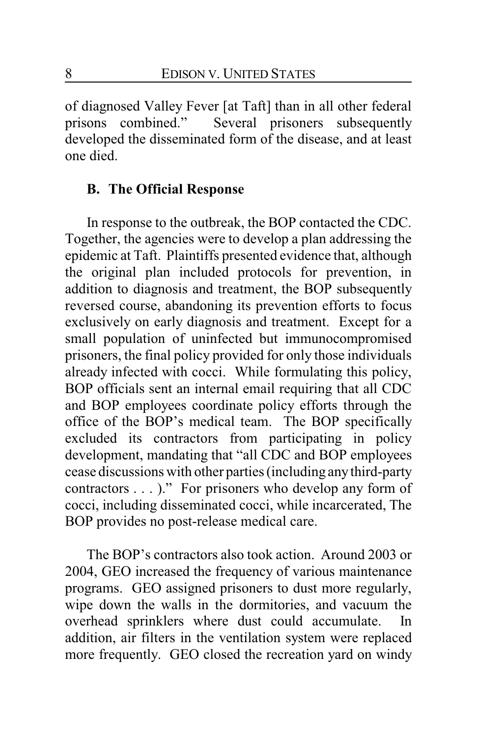of diagnosed Valley Fever [at Taft] than in all other federal prisons combined." Several prisoners subsequently developed the disseminated form of the disease, and at least one died.

## **B. The Official Response**

In response to the outbreak, the BOP contacted the CDC. Together, the agencies were to develop a plan addressing the epidemic at Taft. Plaintiffs presented evidence that, although the original plan included protocols for prevention, in addition to diagnosis and treatment, the BOP subsequently reversed course, abandoning its prevention efforts to focus exclusively on early diagnosis and treatment. Except for a small population of uninfected but immunocompromised prisoners, the final policy provided for only those individuals already infected with cocci. While formulating this policy, BOP officials sent an internal email requiring that all CDC and BOP employees coordinate policy efforts through the office of the BOP's medical team. The BOP specifically excluded its contractors from participating in policy development, mandating that "all CDC and BOP employees cease discussions with other parties (including anythird-party contractors . . . )." For prisoners who develop any form of cocci, including disseminated cocci, while incarcerated, The BOP provides no post-release medical care.

The BOP's contractors also took action. Around 2003 or 2004, GEO increased the frequency of various maintenance programs. GEO assigned prisoners to dust more regularly, wipe down the walls in the dormitories, and vacuum the overhead sprinklers where dust could accumulate. In addition, air filters in the ventilation system were replaced more frequently. GEO closed the recreation yard on windy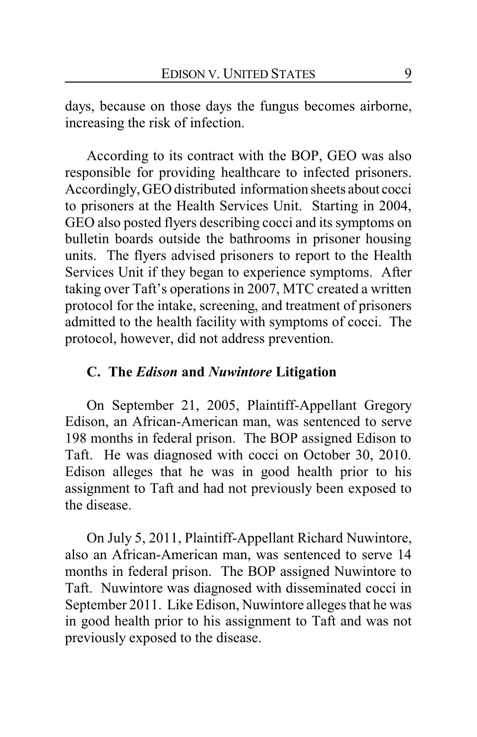days, because on those days the fungus becomes airborne, increasing the risk of infection.

According to its contract with the BOP, GEO was also responsible for providing healthcare to infected prisoners. Accordingly, GEO distributed information sheets about cocci to prisoners at the Health Services Unit. Starting in 2004, GEO also posted flyers describing cocci and its symptoms on bulletin boards outside the bathrooms in prisoner housing units. The flyers advised prisoners to report to the Health Services Unit if they began to experience symptoms. After taking over Taft's operations in 2007, MTC created a written protocol for the intake, screening, and treatment of prisoners admitted to the health facility with symptoms of cocci. The protocol, however, did not address prevention.

## **C. The** *Edison* **and** *Nuwintore* **Litigation**

On September 21, 2005, Plaintiff-Appellant Gregory Edison, an African-American man, was sentenced to serve 198 months in federal prison. The BOP assigned Edison to Taft. He was diagnosed with cocci on October 30, 2010. Edison alleges that he was in good health prior to his assignment to Taft and had not previously been exposed to the disease.

On July 5, 2011, Plaintiff-Appellant Richard Nuwintore, also an African-American man, was sentenced to serve 14 months in federal prison. The BOP assigned Nuwintore to Taft. Nuwintore was diagnosed with disseminated cocci in September 2011. Like Edison, Nuwintore alleges that he was in good health prior to his assignment to Taft and was not previously exposed to the disease.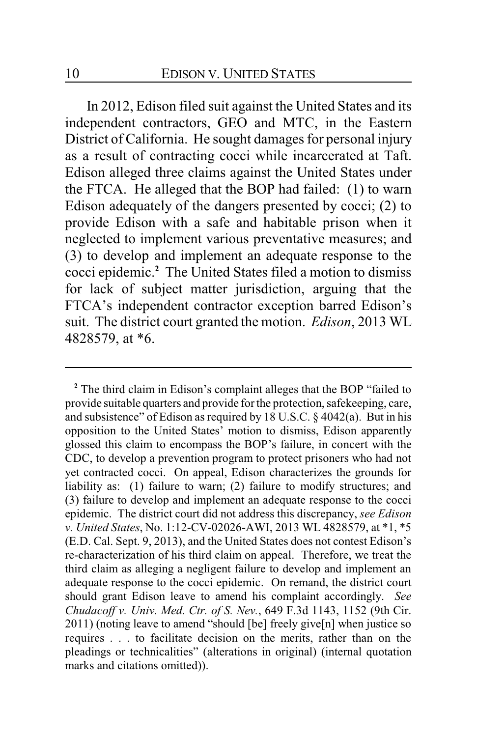In 2012, Edison filed suit against the United States and its independent contractors, GEO and MTC, in the Eastern District of California. He sought damages for personal injury as a result of contracting cocci while incarcerated at Taft. Edison alleged three claims against the United States under the FTCA. He alleged that the BOP had failed: (1) to warn Edison adequately of the dangers presented by cocci; (2) to provide Edison with a safe and habitable prison when it neglected to implement various preventative measures; and (3) to develop and implement an adequate response to the cocci epidemic.**<sup>2</sup>** The United States filed a motion to dismiss for lack of subject matter jurisdiction, arguing that the FTCA's independent contractor exception barred Edison's suit. The district court granted the motion. *Edison*, 2013 WL 4828579, at \*6.

<sup>&</sup>lt;sup>2</sup> The third claim in Edison's complaint alleges that the BOP "failed to provide suitable quarters and provide for the protection, safekeeping, care, and subsistence" of Edison as required by 18 U.S.C. § 4042(a). But in his opposition to the United States' motion to dismiss, Edison apparently glossed this claim to encompass the BOP's failure, in concert with the CDC, to develop a prevention program to protect prisoners who had not yet contracted cocci. On appeal, Edison characterizes the grounds for liability as: (1) failure to warn; (2) failure to modify structures; and (3) failure to develop and implement an adequate response to the cocci epidemic. The district court did not address this discrepancy, *see Edison v. United States*, No. 1:12-CV-02026-AWI, 2013 WL 4828579, at \*1, \*5 (E.D. Cal. Sept. 9, 2013), and the United States does not contest Edison's re-characterization of his third claim on appeal. Therefore, we treat the third claim as alleging a negligent failure to develop and implement an adequate response to the cocci epidemic. On remand, the district court should grant Edison leave to amend his complaint accordingly. *See Chudacoff v. Univ. Med. Ctr. of S. Nev.*, 649 F.3d 1143, 1152 (9th Cir. 2011) (noting leave to amend "should [be] freely give[n] when justice so requires . . . to facilitate decision on the merits, rather than on the pleadings or technicalities" (alterations in original) (internal quotation marks and citations omitted)).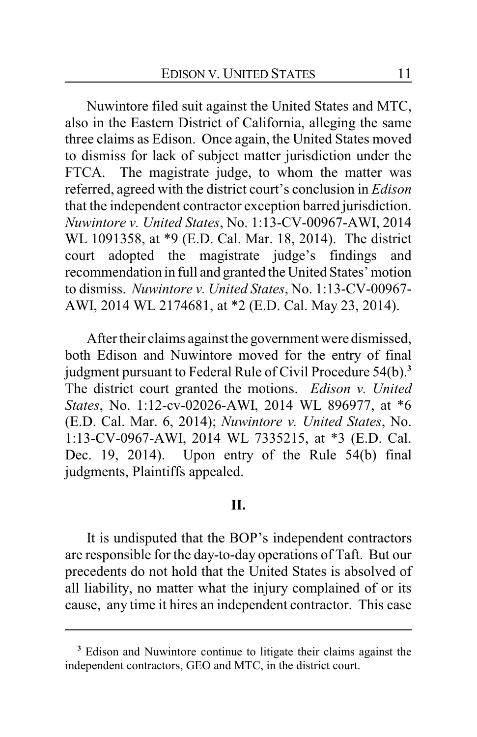Nuwintore filed suit against the United States and MTC, also in the Eastern District of California, alleging the same three claims as Edison. Once again, the United States moved to dismiss for lack of subject matter jurisdiction under the FTCA. The magistrate judge, to whom the matter was referred, agreed with the district court's conclusion in *Edison* that the independent contractor exception barred jurisdiction. *Nuwintore v. United States*, No. 1:13-CV-00967-AWI, 2014 WL 1091358, at \*9 (E.D. Cal. Mar. 18, 2014). The district court adopted the magistrate judge's findings and recommendation in full and granted the United States' motion to dismiss. *Nuwintore v. United States*, No. 1:13-CV-00967- AWI, 2014 WL 2174681, at \*2 (E.D. Cal. May 23, 2014).

After their claims against the government were dismissed, both Edison and Nuwintore moved for the entry of final judgment pursuant to Federal Rule of Civil Procedure 54(b).**<sup>3</sup>** The district court granted the motions. *Edison v. United States*, No. 1:12-cv-02026-AWI, 2014 WL 896977, at \*6 (E.D. Cal. Mar. 6, 2014); *Nuwintore v. United States*, No. 1:13-CV-0967-AWI, 2014 WL 7335215, at \*3 (E.D. Cal. Dec. 19, 2014). Upon entry of the Rule 54(b) final judgments, Plaintiffs appealed.

### **II.**

It is undisputed that the BOP's independent contractors are responsible for the day-to-day operations of Taft. But our precedents do not hold that the United States is absolved of all liability, no matter what the injury complained of or its cause, any time it hires an independent contractor. This case

**<sup>3</sup>** Edison and Nuwintore continue to litigate their claims against the independent contractors, GEO and MTC, in the district court.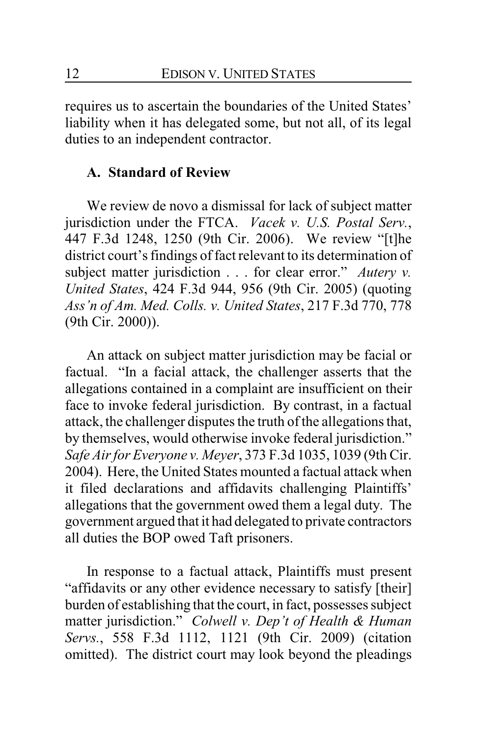requires us to ascertain the boundaries of the United States' liability when it has delegated some, but not all, of its legal duties to an independent contractor.

## **A. Standard of Review**

We review de novo a dismissal for lack of subject matter jurisdiction under the FTCA. *Vacek v. U.S. Postal Serv.*, 447 F.3d 1248, 1250 (9th Cir. 2006). We review "[t]he district court's findings of fact relevant to its determination of subject matter jurisdiction . . . for clear error." *Autery v. United States*, 424 F.3d 944, 956 (9th Cir. 2005) (quoting *Ass'n of Am. Med. Colls. v. United States*, 217 F.3d 770, 778 (9th Cir. 2000)).

An attack on subject matter jurisdiction may be facial or factual. "In a facial attack, the challenger asserts that the allegations contained in a complaint are insufficient on their face to invoke federal jurisdiction. By contrast, in a factual attack, the challenger disputes the truth of the allegations that, by themselves, would otherwise invoke federal jurisdiction." *Safe Air for Everyone v. Meyer*, 373 F.3d 1035, 1039 (9th Cir. 2004). Here, the United States mounted a factual attack when it filed declarations and affidavits challenging Plaintiffs' allegations that the government owed them a legal duty. The government argued that it had delegated to private contractors all duties the BOP owed Taft prisoners.

In response to a factual attack, Plaintiffs must present "affidavits or any other evidence necessary to satisfy [their] burden of establishing that the court, in fact, possesses subject matter jurisdiction." *Colwell v. Dep't of Health & Human Servs.*, 558 F.3d 1112, 1121 (9th Cir. 2009) (citation omitted). The district court may look beyond the pleadings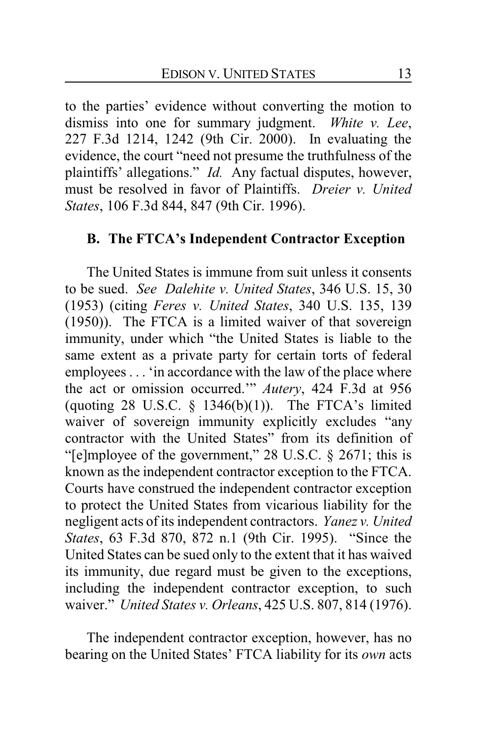to the parties' evidence without converting the motion to dismiss into one for summary judgment. *White v. Lee*, 227 F.3d 1214, 1242 (9th Cir. 2000). In evaluating the evidence, the court "need not presume the truthfulness of the plaintiffs' allegations." *Id.* Any factual disputes, however, must be resolved in favor of Plaintiffs. *Dreier v. United States*, 106 F.3d 844, 847 (9th Cir. 1996).

## **B. The FTCA's Independent Contractor Exception**

The United States is immune from suit unless it consents to be sued. *See Dalehite v. United States*, 346 U.S. 15, 30 (1953) (citing *Feres v. United States*, 340 U.S. 135, 139 (1950)). The FTCA is a limited waiver of that sovereign immunity, under which "the United States is liable to the same extent as a private party for certain torts of federal employees . . . 'in accordance with the law of the place where the act or omission occurred.'" *Autery*, 424 F.3d at 956 (quoting 28 U.S.C.  $\S$  1346(b)(1)). The FTCA's limited waiver of sovereign immunity explicitly excludes "any contractor with the United States" from its definition of "[e]mployee of the government," 28 U.S.C. § 2671; this is known as the independent contractor exception to the FTCA. Courts have construed the independent contractor exception to protect the United States from vicarious liability for the negligent acts of its independent contractors. *Yanez v. United States*, 63 F.3d 870, 872 n.1 (9th Cir. 1995). "Since the United States can be sued only to the extent that it has waived its immunity, due regard must be given to the exceptions, including the independent contractor exception, to such waiver." *United States v. Orleans*, 425 U.S. 807, 814 (1976).

The independent contractor exception, however, has no bearing on the United States' FTCA liability for its *own* acts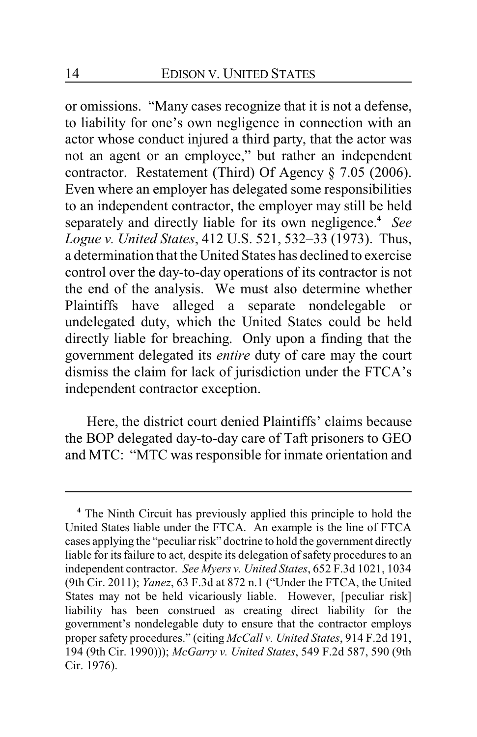or omissions. "Many cases recognize that it is not a defense, to liability for one's own negligence in connection with an actor whose conduct injured a third party, that the actor was not an agent or an employee," but rather an independent contractor. Restatement (Third) Of Agency § 7.05 (2006). Even where an employer has delegated some responsibilities to an independent contractor, the employer may still be held separately and directly liable for its own negligence.**<sup>4</sup>** *See Logue v. United States*, 412 U.S. 521, 532–33 (1973). Thus, a determination that the United States has declined to exercise control over the day-to-day operations of its contractor is not the end of the analysis. We must also determine whether Plaintiffs have alleged a separate nondelegable or undelegated duty, which the United States could be held directly liable for breaching. Only upon a finding that the government delegated its *entire* duty of care may the court dismiss the claim for lack of jurisdiction under the FTCA's independent contractor exception.

Here, the district court denied Plaintiffs' claims because the BOP delegated day-to-day care of Taft prisoners to GEO and MTC: "MTC was responsible for inmate orientation and

**<sup>4</sup>** The Ninth Circuit has previously applied this principle to hold the United States liable under the FTCA. An example is the line of FTCA cases applying the "peculiar risk" doctrine to hold the government directly liable for its failure to act, despite its delegation of safety procedures to an independent contractor. *See Myers v. United States*, 652 F.3d 1021, 1034 (9th Cir. 2011); *Yanez*, 63 F.3d at 872 n.1 ("Under the FTCA, the United States may not be held vicariously liable. However, [peculiar risk] liability has been construed as creating direct liability for the government's nondelegable duty to ensure that the contractor employs proper safety procedures." (citing *McCall v. United States*, 914 F.2d 191, 194 (9th Cir. 1990))); *McGarry v. United States*, 549 F.2d 587, 590 (9th Cir. 1976).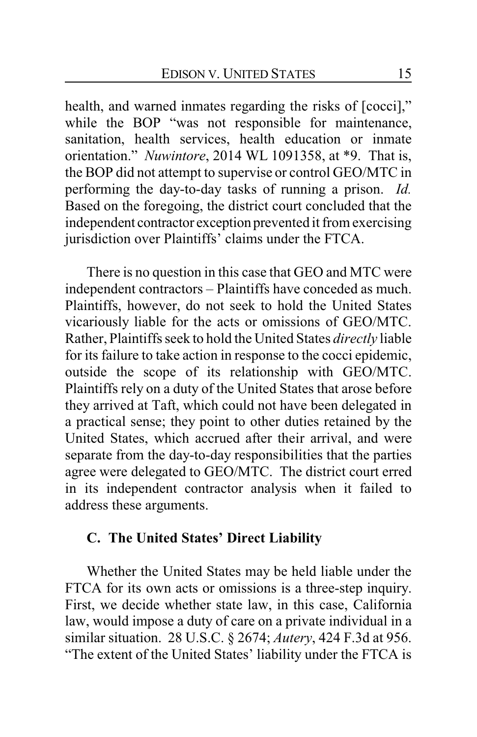health, and warned inmates regarding the risks of [cocci]," while the BOP "was not responsible for maintenance, sanitation, health services, health education or inmate orientation." *Nuwintore*, 2014 WL 1091358, at \*9. That is, the BOP did not attempt to supervise or control GEO/MTC in performing the day-to-day tasks of running a prison. *Id.* Based on the foregoing, the district court concluded that the independent contractor exception prevented it from exercising jurisdiction over Plaintiffs' claims under the FTCA.

There is no question in this case that GEO and MTC were independent contractors – Plaintiffs have conceded as much. Plaintiffs, however, do not seek to hold the United States vicariously liable for the acts or omissions of GEO/MTC. Rather, Plaintiffs seek to hold the United States *directly* liable for its failure to take action in response to the cocci epidemic, outside the scope of its relationship with GEO/MTC. Plaintiffs rely on a duty of the United States that arose before they arrived at Taft, which could not have been delegated in a practical sense; they point to other duties retained by the United States, which accrued after their arrival, and were separate from the day-to-day responsibilities that the parties agree were delegated to GEO/MTC. The district court erred in its independent contractor analysis when it failed to address these arguments.

## **C. The United States' Direct Liability**

Whether the United States may be held liable under the FTCA for its own acts or omissions is a three-step inquiry. First, we decide whether state law, in this case, California law, would impose a duty of care on a private individual in a similar situation. 28 U.S.C. § 2674; *Autery*, 424 F.3d at 956. "The extent of the United States' liability under the FTCA is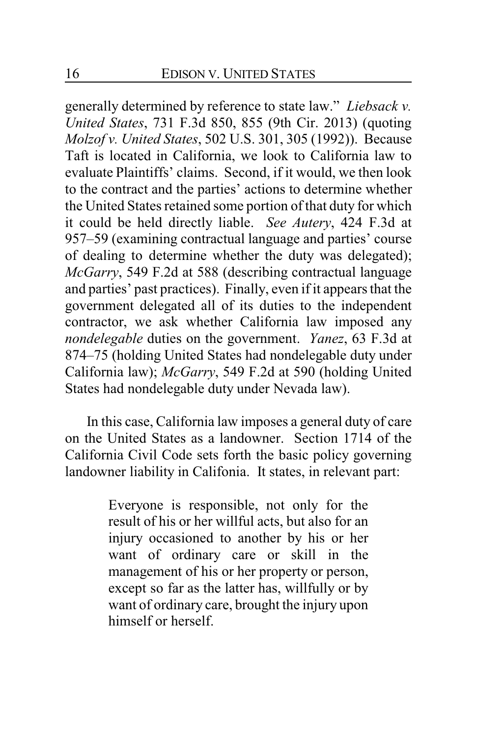generally determined by reference to state law." *Liebsack v. United States*, 731 F.3d 850, 855 (9th Cir. 2013) (quoting *Molzof v. United States*, 502 U.S. 301, 305 (1992)). Because Taft is located in California, we look to California law to evaluate Plaintiffs' claims. Second, if it would, we then look to the contract and the parties' actions to determine whether the United States retained some portion of that duty for which it could be held directly liable. *See Autery*, 424 F.3d at 957–59 (examining contractual language and parties' course of dealing to determine whether the duty was delegated); *McGarry*, 549 F.2d at 588 (describing contractual language and parties' past practices). Finally, even if it appears that the government delegated all of its duties to the independent contractor, we ask whether California law imposed any *nondelegable* duties on the government. *Yanez*, 63 F.3d at 874–75 (holding United States had nondelegable duty under California law); *McGarry*, 549 F.2d at 590 (holding United States had nondelegable duty under Nevada law).

In this case, California law imposes a general duty of care on the United States as a landowner. Section 1714 of the California Civil Code sets forth the basic policy governing landowner liability in Califonia. It states, in relevant part:

> Everyone is responsible, not only for the result of his or her willful acts, but also for an injury occasioned to another by his or her want of ordinary care or skill in the management of his or her property or person, except so far as the latter has, willfully or by want of ordinary care, brought the injury upon himself or herself.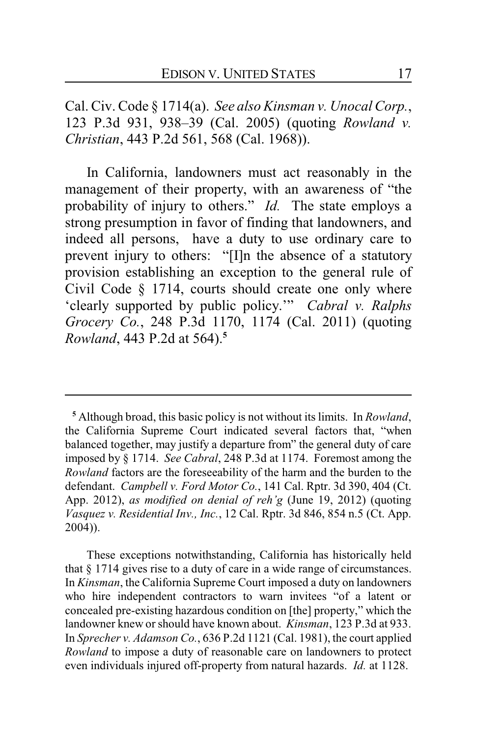Cal. Civ. Code § 1714(a). *See also Kinsman v. Unocal Corp.*, 123 P.3d 931, 938–39 (Cal. 2005) (quoting *Rowland v. Christian*, 443 P.2d 561, 568 (Cal. 1968)).

In California, landowners must act reasonably in the management of their property, with an awareness of "the probability of injury to others." *Id.* The state employs a strong presumption in favor of finding that landowners, and indeed all persons, have a duty to use ordinary care to prevent injury to others: "[I]n the absence of a statutory provision establishing an exception to the general rule of Civil Code § 1714, courts should create one only where 'clearly supported by public policy.'" *Cabral v. Ralphs Grocery Co.*, 248 P.3d 1170, 1174 (Cal. 2011) (quoting *Rowland*, 443 P.2d at 564).**<sup>5</sup>**

These exceptions notwithstanding, California has historically held that § 1714 gives rise to a duty of care in a wide range of circumstances. In *Kinsman*, the California Supreme Court imposed a duty on landowners who hire independent contractors to warn invitees "of a latent or concealed pre-existing hazardous condition on [the] property," which the landowner knew or should have known about. *Kinsman*, 123 P.3d at 933. In *Sprecher v. Adamson Co.*, 636 P.2d 1121 (Cal. 1981), the court applied *Rowland* to impose a duty of reasonable care on landowners to protect even individuals injured off-property from natural hazards. *Id.* at 1128.

**<sup>5</sup>** Although broad, this basic policy is not without its limits. In *Rowland*, the California Supreme Court indicated several factors that, "when balanced together, may justify a departure from" the general duty of care imposed by § 1714. *See Cabral*, 248 P.3d at 1174. Foremost among the *Rowland* factors are the foreseeability of the harm and the burden to the defendant. *Campbell v. Ford Motor Co.*, 141 Cal. Rptr. 3d 390, 404 (Ct. App. 2012), *as modified on denial of reh'g* (June 19, 2012) (quoting *Vasquez v. Residential Inv., Inc.*, 12 Cal. Rptr. 3d 846, 854 n.5 (Ct. App. 2004)).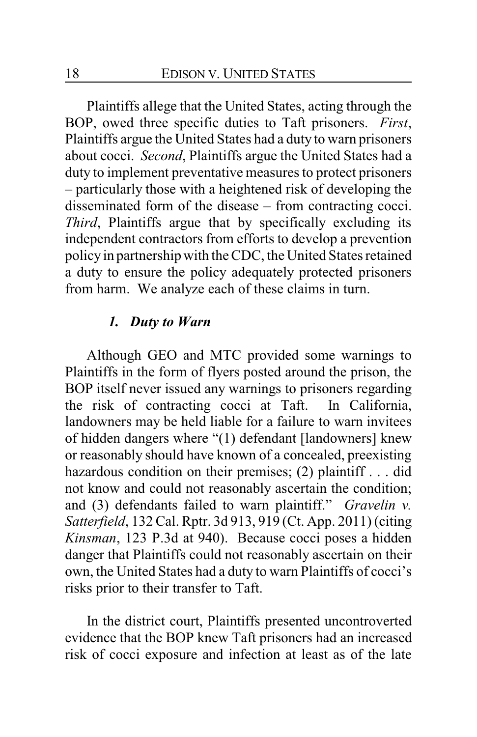Plaintiffs allege that the United States, acting through the BOP, owed three specific duties to Taft prisoners. *First*, Plaintiffs argue the United States had a duty to warn prisoners about cocci. *Second*, Plaintiffs argue the United States had a duty to implement preventative measures to protect prisoners – particularly those with a heightened risk of developing the disseminated form of the disease – from contracting cocci. *Third*, Plaintiffs argue that by specifically excluding its independent contractors from efforts to develop a prevention policy in partnership with the CDC, the United States retained a duty to ensure the policy adequately protected prisoners from harm. We analyze each of these claims in turn.

## *1. Duty to Warn*

Although GEO and MTC provided some warnings to Plaintiffs in the form of flyers posted around the prison, the BOP itself never issued any warnings to prisoners regarding the risk of contracting cocci at Taft. In California, landowners may be held liable for a failure to warn invitees of hidden dangers where "(1) defendant [landowners] knew or reasonably should have known of a concealed, preexisting hazardous condition on their premises; (2) plaintiff . . . did not know and could not reasonably ascertain the condition; and (3) defendants failed to warn plaintiff." *Gravelin v. Satterfield*, 132 Cal. Rptr. 3d 913, 919 (Ct. App. 2011) (citing *Kinsman*, 123 P.3d at 940). Because cocci poses a hidden danger that Plaintiffs could not reasonably ascertain on their own, the United States had a duty to warn Plaintiffs of cocci's risks prior to their transfer to Taft.

In the district court, Plaintiffs presented uncontroverted evidence that the BOP knew Taft prisoners had an increased risk of cocci exposure and infection at least as of the late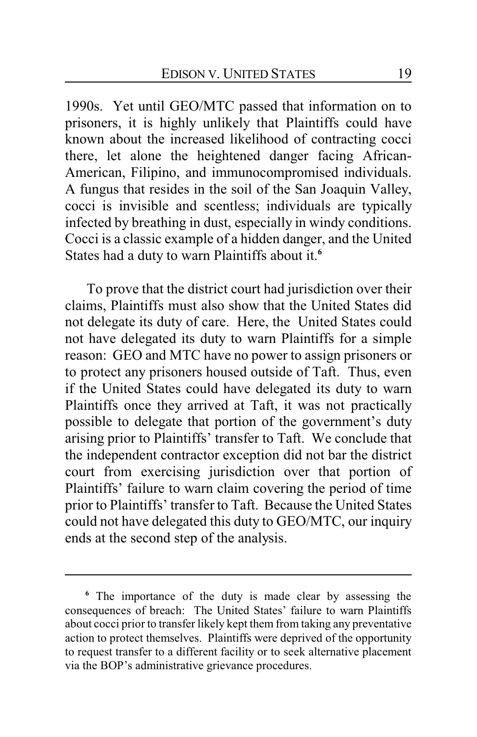1990s. Yet until GEO/MTC passed that information on to prisoners, it is highly unlikely that Plaintiffs could have known about the increased likelihood of contracting cocci there, let alone the heightened danger facing African-American, Filipino, and immunocompromised individuals. A fungus that resides in the soil of the San Joaquin Valley, cocci is invisible and scentless; individuals are typically infected by breathing in dust, especially in windy conditions. Cocci is a classic example of a hidden danger, and the United States had a duty to warn Plaintiffs about it.**<sup>6</sup>**

To prove that the district court had jurisdiction over their claims, Plaintiffs must also show that the United States did not delegate its duty of care. Here, the United States could not have delegated its duty to warn Plaintiffs for a simple reason: GEO and MTC have no power to assign prisoners or to protect any prisoners housed outside of Taft. Thus, even if the United States could have delegated its duty to warn Plaintiffs once they arrived at Taft, it was not practically possible to delegate that portion of the government's duty arising prior to Plaintiffs' transfer to Taft. We conclude that the independent contractor exception did not bar the district court from exercising jurisdiction over that portion of Plaintiffs' failure to warn claim covering the period of time prior to Plaintiffs' transfer to Taft. Because the United States could not have delegated this duty to GEO/MTC, our inquiry ends at the second step of the analysis.

**<sup>6</sup>** The importance of the duty is made clear by assessing the consequences of breach: The United States' failure to warn Plaintiffs about cocci prior to transfer likely kept them from taking any preventative action to protect themselves. Plaintiffs were deprived of the opportunity to request transfer to a different facility or to seek alternative placement via the BOP's administrative grievance procedures.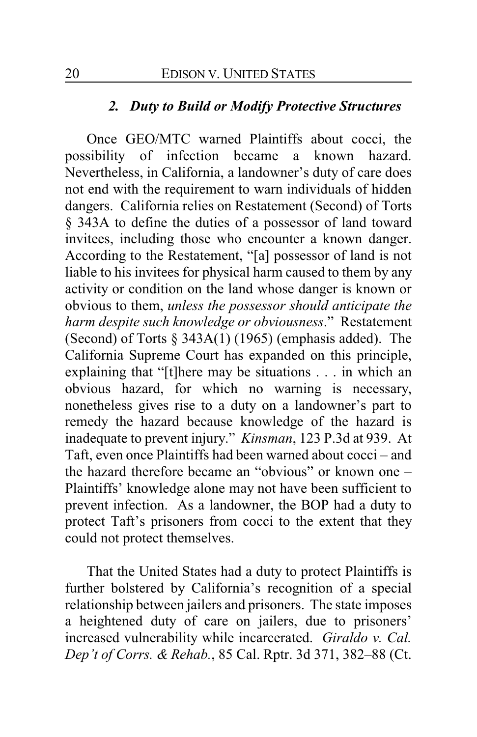#### *2. Duty to Build or Modify Protective Structures*

Once GEO/MTC warned Plaintiffs about cocci, the possibility of infection became a known hazard. Nevertheless, in California, a landowner's duty of care does not end with the requirement to warn individuals of hidden dangers. California relies on Restatement (Second) of Torts § 343A to define the duties of a possessor of land toward invitees, including those who encounter a known danger. According to the Restatement, "[a] possessor of land is not liable to his invitees for physical harm caused to them by any activity or condition on the land whose danger is known or obvious to them, *unless the possessor should anticipate the harm despite such knowledge or obviousness*." Restatement (Second) of Torts  $\S$  343A(1) (1965) (emphasis added). The California Supreme Court has expanded on this principle, explaining that "[t]here may be situations . . . in which an obvious hazard, for which no warning is necessary, nonetheless gives rise to a duty on a landowner's part to remedy the hazard because knowledge of the hazard is inadequate to prevent injury." *Kinsman*, 123 P.3d at 939. At Taft, even once Plaintiffs had been warned about cocci – and the hazard therefore became an "obvious" or known one – Plaintiffs' knowledge alone may not have been sufficient to prevent infection. As a landowner, the BOP had a duty to protect Taft's prisoners from cocci to the extent that they could not protect themselves.

That the United States had a duty to protect Plaintiffs is further bolstered by California's recognition of a special relationship between jailers and prisoners. The state imposes a heightened duty of care on jailers, due to prisoners' increased vulnerability while incarcerated. *Giraldo v. Cal. Dep't of Corrs. & Rehab.*, 85 Cal. Rptr. 3d 371, 382–88 (Ct.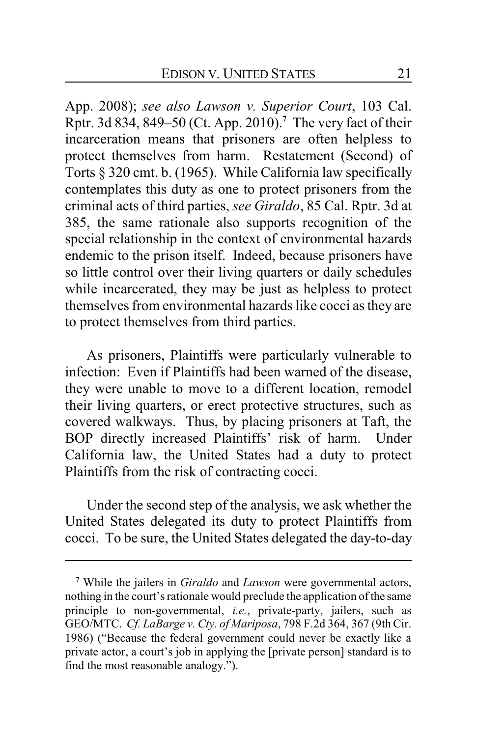App. 2008); *see also Lawson v. Superior Court*, 103 Cal. Rptr. 3d 834, 849–50 (Ct. App. 2010).**<sup>7</sup>** The very fact of their incarceration means that prisoners are often helpless to protect themselves from harm. Restatement (Second) of Torts § 320 cmt. b. (1965). While California law specifically contemplates this duty as one to protect prisoners from the criminal acts of third parties, *see Giraldo*, 85 Cal. Rptr. 3d at 385, the same rationale also supports recognition of the special relationship in the context of environmental hazards endemic to the prison itself. Indeed, because prisoners have so little control over their living quarters or daily schedules while incarcerated, they may be just as helpless to protect themselves from environmental hazards like cocci as they are to protect themselves from third parties.

As prisoners, Plaintiffs were particularly vulnerable to infection: Even if Plaintiffs had been warned of the disease, they were unable to move to a different location, remodel their living quarters, or erect protective structures, such as covered walkways. Thus, by placing prisoners at Taft, the BOP directly increased Plaintiffs' risk of harm. Under California law, the United States had a duty to protect Plaintiffs from the risk of contracting cocci.

Under the second step of the analysis, we ask whether the United States delegated its duty to protect Plaintiffs from cocci. To be sure, the United States delegated the day-to-day

**<sup>7</sup>** While the jailers in *Giraldo* and *Lawson* were governmental actors, nothing in the court's rationale would preclude the application of the same principle to non-governmental, *i.e.*, private-party, jailers, such as GEO/MTC. *Cf. LaBarge v. Cty. of Mariposa*, 798 F.2d 364, 367 (9th Cir. 1986) ("Because the federal government could never be exactly like a private actor, a court's job in applying the [private person] standard is to find the most reasonable analogy.").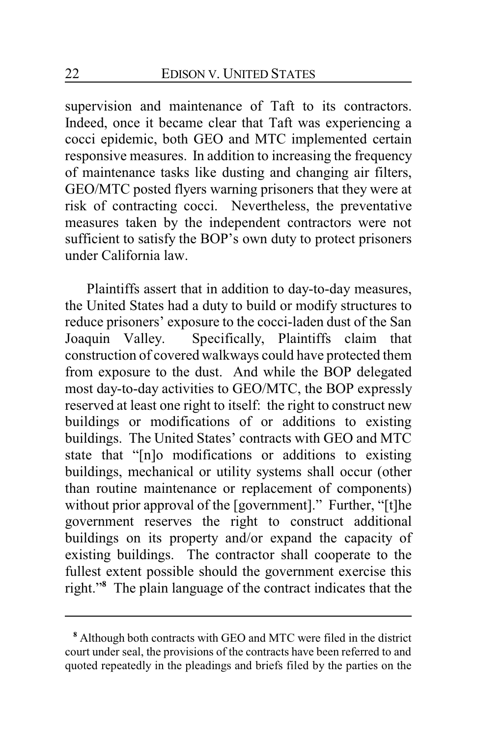supervision and maintenance of Taft to its contractors. Indeed, once it became clear that Taft was experiencing a cocci epidemic, both GEO and MTC implemented certain responsive measures. In addition to increasing the frequency of maintenance tasks like dusting and changing air filters, GEO/MTC posted flyers warning prisoners that they were at risk of contracting cocci. Nevertheless, the preventative measures taken by the independent contractors were not sufficient to satisfy the BOP's own duty to protect prisoners under California law.

Plaintiffs assert that in addition to day-to-day measures, the United States had a duty to build or modify structures to reduce prisoners' exposure to the cocci-laden dust of the San Joaquin Valley. Specifically, Plaintiffs claim that construction of covered walkways could have protected them from exposure to the dust. And while the BOP delegated most day-to-day activities to GEO/MTC, the BOP expressly reserved at least one right to itself: the right to construct new buildings or modifications of or additions to existing buildings. The United States' contracts with GEO and MTC state that "[n]o modifications or additions to existing buildings, mechanical or utility systems shall occur (other than routine maintenance or replacement of components) without prior approval of the [government]." Further, "[t]he government reserves the right to construct additional buildings on its property and/or expand the capacity of existing buildings. The contractor shall cooperate to the fullest extent possible should the government exercise this right."**<sup>8</sup>** The plain language of the contract indicates that the

**<sup>8</sup>** Although both contracts with GEO and MTC were filed in the district court under seal, the provisions of the contracts have been referred to and quoted repeatedly in the pleadings and briefs filed by the parties on the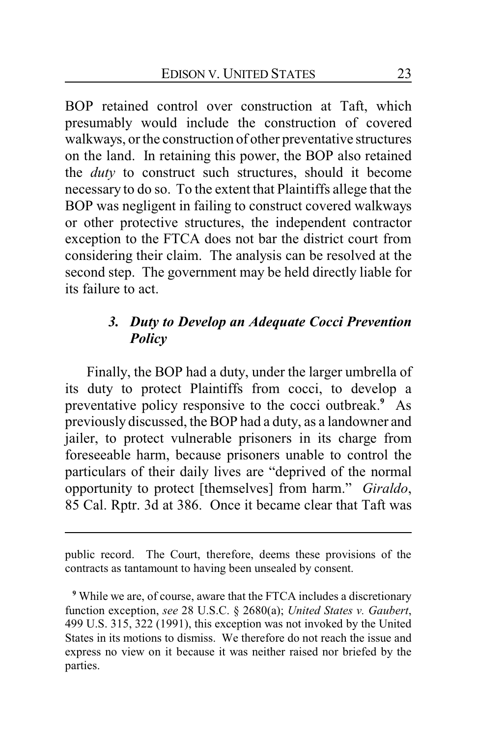BOP retained control over construction at Taft, which presumably would include the construction of covered walkways, or the construction of other preventative structures on the land. In retaining this power, the BOP also retained the *duty* to construct such structures, should it become necessary to do so. To the extent that Plaintiffs allege that the BOP was negligent in failing to construct covered walkways or other protective structures, the independent contractor exception to the FTCA does not bar the district court from considering their claim. The analysis can be resolved at the second step. The government may be held directly liable for its failure to act.

# *3. Duty to Develop an Adequate Cocci Prevention Policy*

Finally, the BOP had a duty, under the larger umbrella of its duty to protect Plaintiffs from cocci, to develop a preventative policy responsive to the cocci outbreak.**<sup>9</sup>** As previously discussed, the BOP had a duty, as a landowner and jailer, to protect vulnerable prisoners in its charge from foreseeable harm, because prisoners unable to control the particulars of their daily lives are "deprived of the normal opportunity to protect [themselves] from harm." *Giraldo*, 85 Cal. Rptr. 3d at 386. Once it became clear that Taft was

public record. The Court, therefore, deems these provisions of the contracts as tantamount to having been unsealed by consent.

**<sup>9</sup>** While we are, of course, aware that the FTCA includes a discretionary function exception, *see* 28 U.S.C. § 2680(a); *United States v. Gaubert*, 499 U.S. 315, 322 (1991), this exception was not invoked by the United States in its motions to dismiss. We therefore do not reach the issue and express no view on it because it was neither raised nor briefed by the parties.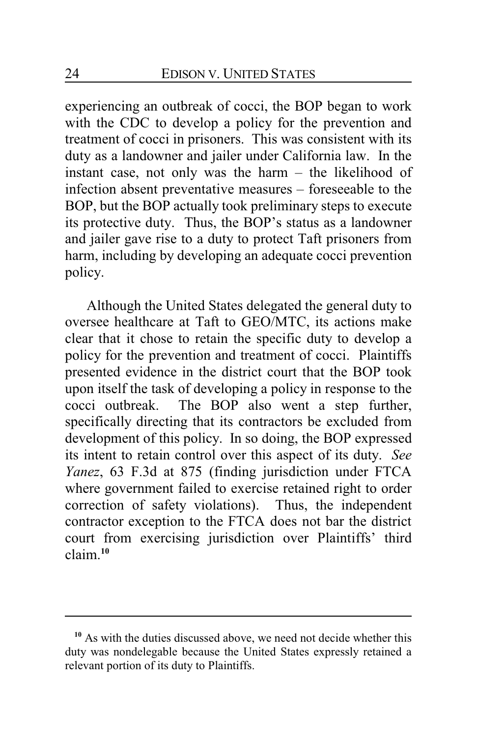experiencing an outbreak of cocci, the BOP began to work with the CDC to develop a policy for the prevention and treatment of cocci in prisoners. This was consistent with its duty as a landowner and jailer under California law. In the instant case, not only was the harm – the likelihood of infection absent preventative measures – foreseeable to the BOP, but the BOP actually took preliminary steps to execute its protective duty. Thus, the BOP's status as a landowner and jailer gave rise to a duty to protect Taft prisoners from harm, including by developing an adequate cocci prevention policy.

Although the United States delegated the general duty to oversee healthcare at Taft to GEO/MTC, its actions make clear that it chose to retain the specific duty to develop a policy for the prevention and treatment of cocci. Plaintiffs presented evidence in the district court that the BOP took upon itself the task of developing a policy in response to the cocci outbreak. The BOP also went a step further, specifically directing that its contractors be excluded from development of this policy. In so doing, the BOP expressed its intent to retain control over this aspect of its duty. *See Yanez*, 63 F.3d at 875 (finding jurisdiction under FTCA where government failed to exercise retained right to order correction of safety violations). Thus, the independent contractor exception to the FTCA does not bar the district court from exercising jurisdiction over Plaintiffs' third claim.**<sup>10</sup>**

**<sup>10</sup>** As with the duties discussed above, we need not decide whether this duty was nondelegable because the United States expressly retained a relevant portion of its duty to Plaintiffs.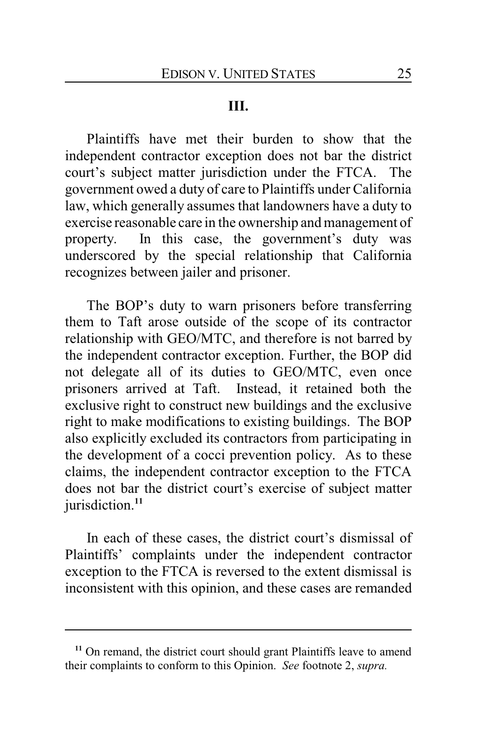## **III.**

Plaintiffs have met their burden to show that the independent contractor exception does not bar the district court's subject matter jurisdiction under the FTCA. The government owed a duty of care to Plaintiffs under California law, which generally assumes that landowners have a duty to exercise reasonable care in the ownership and management of property. In this case, the government's duty was underscored by the special relationship that California recognizes between jailer and prisoner.

The BOP's duty to warn prisoners before transferring them to Taft arose outside of the scope of its contractor relationship with GEO/MTC, and therefore is not barred by the independent contractor exception. Further, the BOP did not delegate all of its duties to GEO/MTC, even once prisoners arrived at Taft. Instead, it retained both the exclusive right to construct new buildings and the exclusive right to make modifications to existing buildings. The BOP also explicitly excluded its contractors from participating in the development of a cocci prevention policy. As to these claims, the independent contractor exception to the FTCA does not bar the district court's exercise of subject matter jurisdiction.**<sup>11</sup>**

In each of these cases, the district court's dismissal of Plaintiffs' complaints under the independent contractor exception to the FTCA is reversed to the extent dismissal is inconsistent with this opinion, and these cases are remanded

**<sup>11</sup>** On remand, the district court should grant Plaintiffs leave to amend their complaints to conform to this Opinion. *See* footnote 2, *supra.*